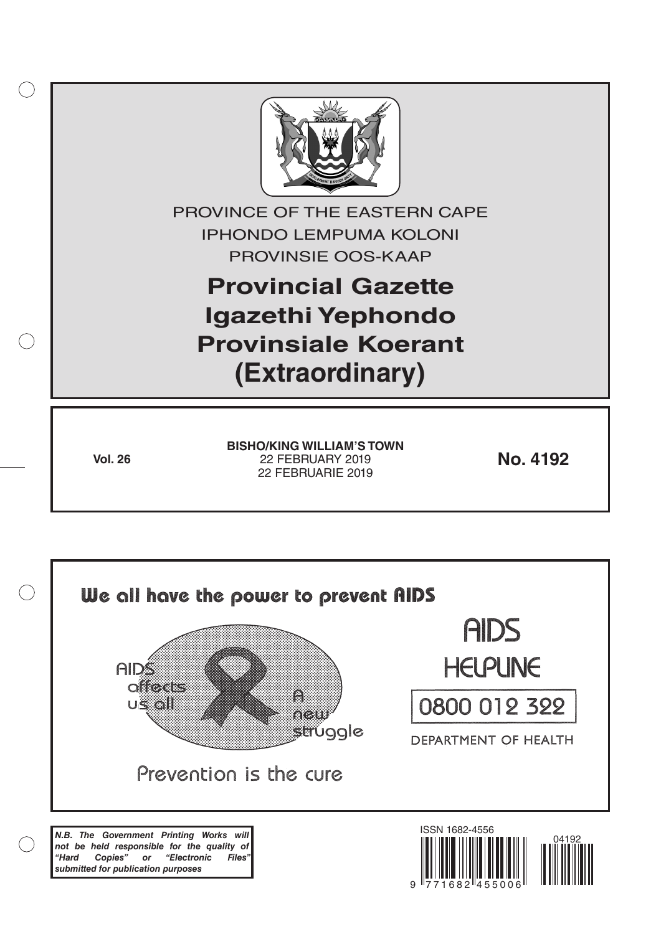

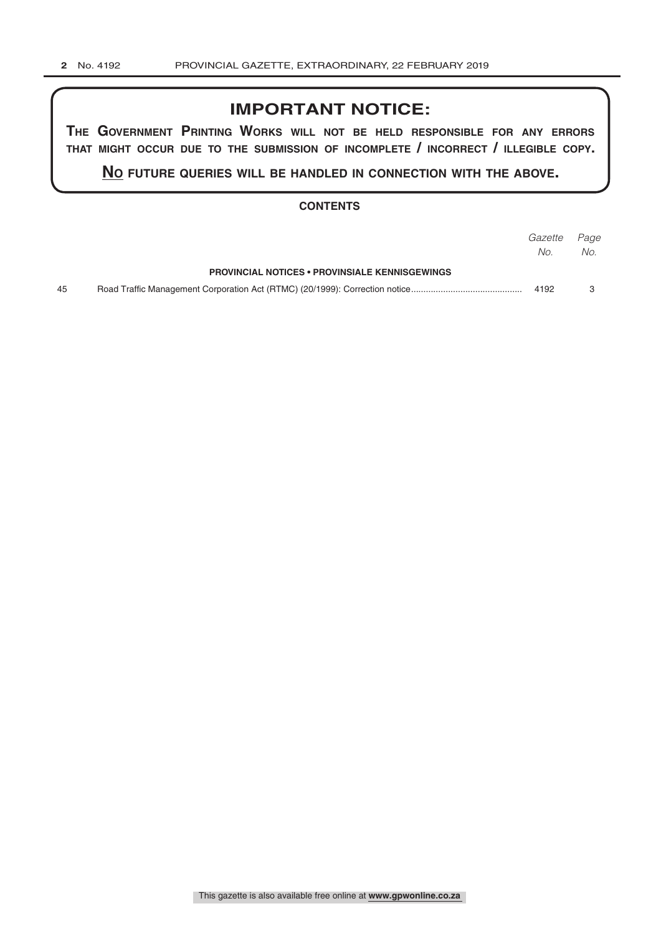# **IMPORTANT NOTICE:**

**The GovernmenT PrinTinG Works Will noT be held resPonsible for any errors ThaT miGhT occur due To The submission of incomPleTe / incorrecT / illeGible coPy.**

**no fuTure queries Will be handled in connecTion WiTh The above.**

## **CONTENTS**

|    |                                                       | Gazette Page |     |
|----|-------------------------------------------------------|--------------|-----|
|    |                                                       | No.          | No. |
|    | <b>PROVINCIAL NOTICES • PROVINSIALE KENNISGEWINGS</b> |              |     |
| 45 |                                                       | 4192         |     |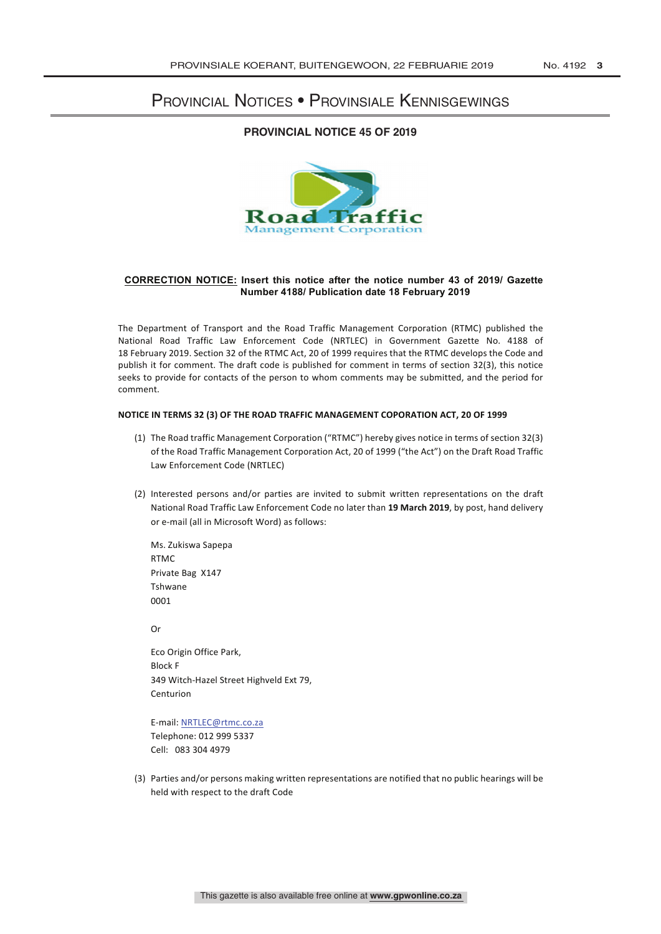## Provincial Notices • Provinsiale Kennisgewings

### **PROVINCIAL NOTICE 45 OF 2019**



#### **CORRECTION NOTICE: Insert this notice after the notice number 43 of 2019/ Gazette Number 4188/ Publication date 18 February 2019**

The Department of Transport and the Road Traffic Management Corporation (RTMC) published the National Road Traffic Law Enforcement Code (NRTLEC) in Government Gazette No. 4188 of 18 February 2019. Section 32 of the RTMC Act, 20 of 1999 requires that the RTMC develops the Code and publish it for comment. The draft code is published for comment in terms of section 32(3), this notice seeks to provide for contacts of the person to whom comments may be submitted, and the period for comment. 

#### **NOTICE IN TERMS 32 (3) OF THE ROAD TRAFFIC MANAGEMENT COPORATION ACT, 20 OF 1999**

- (1) The Road traffic Management Corporation ("RTMC") hereby gives notice in terms of section 32(3) of the Road Traffic Management Corporation Act, 20 of 1999 ("the Act") on the Draft Road Traffic Law Enforcement Code (NRTLEC)
- (2) Interested persons and/or parties are invited to submit written representations on the draft National Road Traffic Law Enforcement Code no later than 19 March 2019, by post, hand delivery or e-mail (all in Microsoft Word) as follows:

Ms. Zukiswa Sapepa RTMC Private Bag X147 Tshwane 0001

Or

Eco Origin Office Park, Block F 349 Witch-Hazel Street Highveld Ext 79, Centurion

E-mail: NRTLEC@rtmc.co.za Telephone: 012 999 5337 Cell: 083 304 4979

(3) Parties and/or persons making written representations are notified that no public hearings will be held with respect to the draft Code